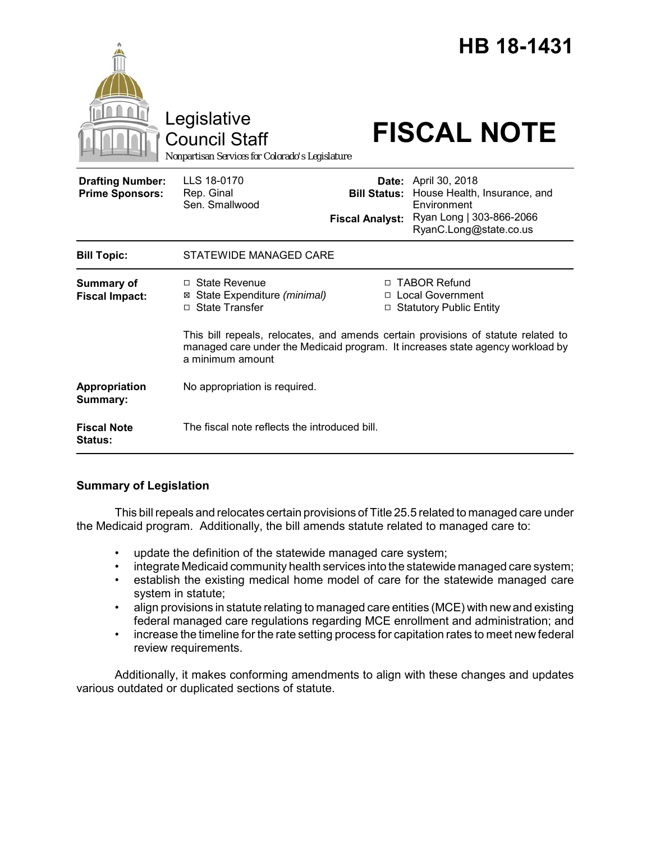|                                                   | Legislative<br><b>Council Staff</b><br>Nonpartisan Services for Colorado's Legislature                                                                                                  |                                                                   | <b>HB 18-1431</b><br><b>FISCAL NOTE</b>                                                                                                              |
|---------------------------------------------------|-----------------------------------------------------------------------------------------------------------------------------------------------------------------------------------------|-------------------------------------------------------------------|------------------------------------------------------------------------------------------------------------------------------------------------------|
| <b>Drafting Number:</b><br><b>Prime Sponsors:</b> | LLS 18-0170<br>Rep. Ginal<br>Sen. Smallwood                                                                                                                                             | <b>Fiscal Analyst:</b>                                            | <b>Date:</b> April 30, 2018<br><b>Bill Status:</b> House Health, Insurance, and<br>Environment<br>Ryan Long   303-866-2066<br>RyanC.Long@state.co.us |
| <b>Bill Topic:</b>                                | STATEWIDE MANAGED CARE                                                                                                                                                                  |                                                                   |                                                                                                                                                      |
| Summary of<br><b>Fiscal Impact:</b>               | $\Box$ State Revenue<br>State Expenditure (minimal)<br>⊠<br><b>State Transfer</b><br>$\Box$                                                                                             | □ TABOR Refund<br>□ Local Government<br>□ Statutory Public Entity |                                                                                                                                                      |
|                                                   | This bill repeals, relocates, and amends certain provisions of statute related to<br>managed care under the Medicaid program. It increases state agency workload by<br>a minimum amount |                                                                   |                                                                                                                                                      |
| Appropriation<br>Summary:                         | No appropriation is required.                                                                                                                                                           |                                                                   |                                                                                                                                                      |
| <b>Fiscal Note</b><br><b>Status:</b>              | The fiscal note reflects the introduced bill.                                                                                                                                           |                                                                   |                                                                                                                                                      |

# **Summary of Legislation**

This bill repeals and relocates certain provisions of Title 25.5 related to managed care under the Medicaid program. Additionally, the bill amends statute related to managed care to:

- update the definition of the statewide managed care system;
- integrate Medicaid community health services into the statewide managed care system;
- establish the existing medical home model of care for the statewide managed care system in statute;
- align provisions in statute relating to managed care entities (MCE) with new and existing federal managed care regulations regarding MCE enrollment and administration; and
- increase the timeline for the rate setting process for capitation rates to meet new federal review requirements.

Additionally, it makes conforming amendments to align with these changes and updates various outdated or duplicated sections of statute.